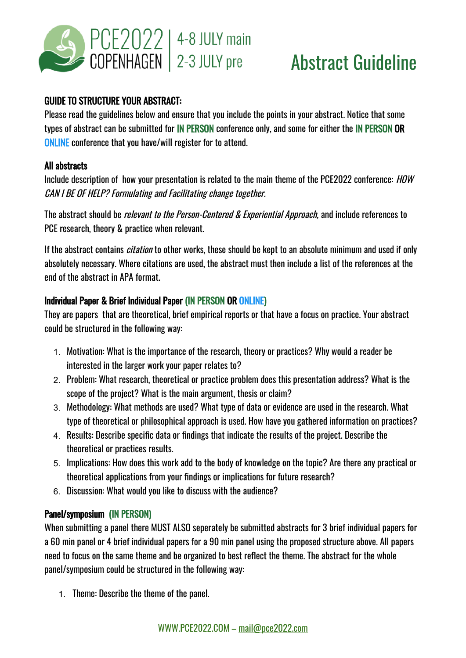

# Abstract Guideline

## GUIDE TO STRUCTURE YOUR ABSTRACT:

Please read the guidelines below and ensure that you include the points in your abstract. Notice that some types of abstract can be submitted for IN PERSON conference only, and some for either the IN PERSON OR ONLINE conference that you have/will register for to attend.

#### All abstracts

Include description of how your presentation is related to the main theme of the PCE2022 conference: HOW CAN I BE OF HELP? Formulating and Facilitating change together.

The abstract should be *relevant to the Person-Centered & Experiential Approach*, and include references to PCE research, theory & practice when relevant.

If the abstract contains *citation* to other works, these should be kept to an absolute minimum and used if only absolutely necessary. Where citations are used, the abstract must then include a list of the references at the end of the abstract in APA format.

## Individual Paper & Brief Individual Paper (IN PERSON OR ONLINE)

They are papers that are theoretical, brief empirical reports or that have a focus on practice. Your abstract could be structured in the following way:

- 1. Motivation: What is the importance of the research, theory or practices? Why would a reader be interested in the larger work your paper relates to?
- 2. Problem: What research, theoretical or practice problem does this presentation address? What is the scope of the project? What is the main argument, thesis or claim?
- 3. Methodology: What methods are used? What type of data or evidence are used in the research. What type of theoretical or philosophical approach is used. How have you gathered information on practices?
- 4. Results: Describe specific data or findings that indicate the results of the project. Describe the theoretical or practices results.
- 5. Implications: How does this work add to the body of knowledge on the topic? Are there any practical or theoretical applications from your findings or implications for future research?
- 6. Discussion: What would you like to discuss with the audience?

### Panel/symposium (IN PERSON)

When submitting a panel there MUST ALSO seperately be submitted abstracts for 3 brief individual papers for a 60 min panel or 4 brief individual papers for a 90 min panel using the proposed structure above. All papers need to focus on the same theme and be organized to best reflect the theme. The abstract for the whole panel/symposium could be structured in the following way:

1. Theme: Describe the theme of the panel.